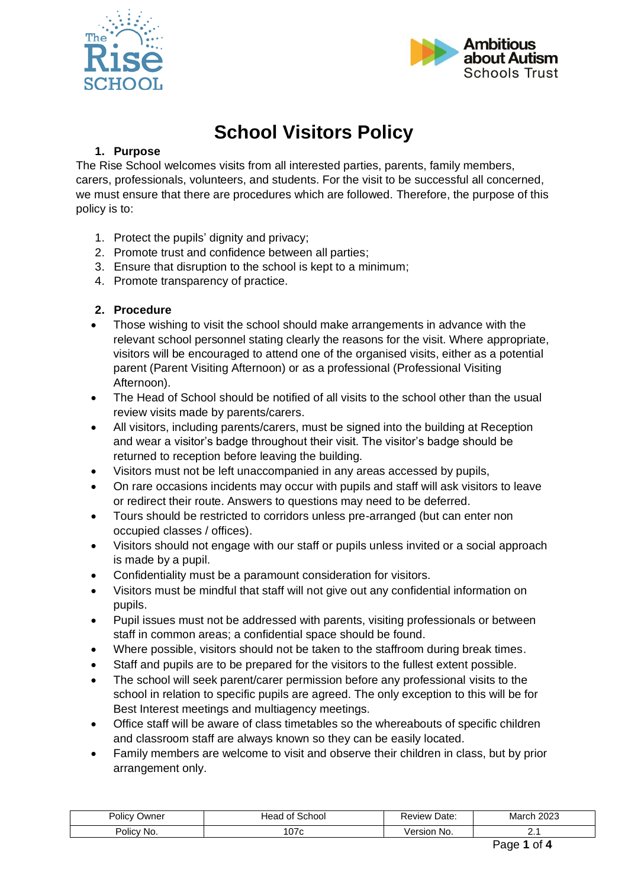



# **School Visitors Policy**

# **1. Purpose**

The Rise School welcomes visits from all interested parties, parents, family members, carers, professionals, volunteers, and students. For the visit to be successful all concerned, we must ensure that there are procedures which are followed. Therefore, the purpose of this policy is to:

- 1. Protect the pupils' dignity and privacy;
- 2. Promote trust and confidence between all parties;
- 3. Ensure that disruption to the school is kept to a minimum;
- 4. Promote transparency of practice.

# **2. Procedure**

- Those wishing to visit the school should make arrangements in advance with the relevant school personnel stating clearly the reasons for the visit. Where appropriate, visitors will be encouraged to attend one of the organised visits, either as a potential parent (Parent Visiting Afternoon) or as a professional (Professional Visiting Afternoon).
- The Head of School should be notified of all visits to the school other than the usual review visits made by parents/carers.
- All visitors, including parents/carers, must be signed into the building at Reception and wear a visitor's badge throughout their visit. The visitor's badge should be returned to reception before leaving the building.
- Visitors must not be left unaccompanied in any areas accessed by pupils,
- On rare occasions incidents may occur with pupils and staff will ask visitors to leave or redirect their route. Answers to questions may need to be deferred.
- Tours should be restricted to corridors unless pre-arranged (but can enter non occupied classes / offices).
- Visitors should not engage with our staff or pupils unless invited or a social approach is made by a pupil.
- Confidentiality must be a paramount consideration for visitors.
- Visitors must be mindful that staff will not give out any confidential information on pupils.
- Pupil issues must not be addressed with parents, visiting professionals or between staff in common areas; a confidential space should be found.
- Where possible, visitors should not be taken to the staffroom during break times.
- Staff and pupils are to be prepared for the visitors to the fullest extent possible.
- The school will seek parent/carer permission before any professional visits to the school in relation to specific pupils are agreed. The only exception to this will be for Best Interest meetings and multiagency meetings.
- Office staff will be aware of class timetables so the whereabouts of specific children and classroom staff are always known so they can be easily located.
- Family members are welcome to visit and observe their children in class, but by prior arrangement only.

| Polic\        | School :        | Date:          | 2023  |
|---------------|-----------------|----------------|-------|
| Owner         | Head of a       | Review         | March |
| Policy<br>No. | 07 <sub>c</sub> | Version<br>No. | --    |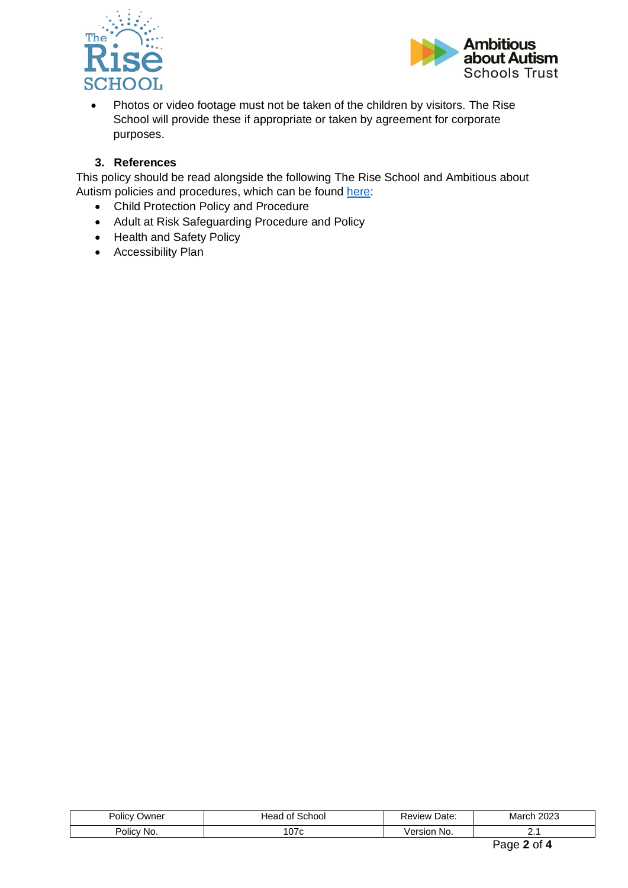



• Photos or video footage must not be taken of the children by visitors. The Rise School will provide these if appropriate or taken by agreement for corporate purposes.

## **3. References**

This policy should be read alongside the following The Rise School and Ambitious about Autism policies and procedures, which can be found [here:](https://theriseschool.com/key-information/policies)

- Child Protection Policy and Procedure
- Adult at Risk Safeguarding Procedure and Policy
- Health and Safety Policy
- Accessibility Plan

| Policy<br>Owner | `chool<br>JA.<br>$\ddot{\phantom{1}}$<br>יי<br>$\cdot$ | ⊃ate:<br>eview        | 2023<br>Mar<br>____ |
|-----------------|--------------------------------------------------------|-----------------------|---------------------|
| Policy<br>'No.  | 07c<br>v,                                              | No.<br>'ersion<br>ver | . .                 |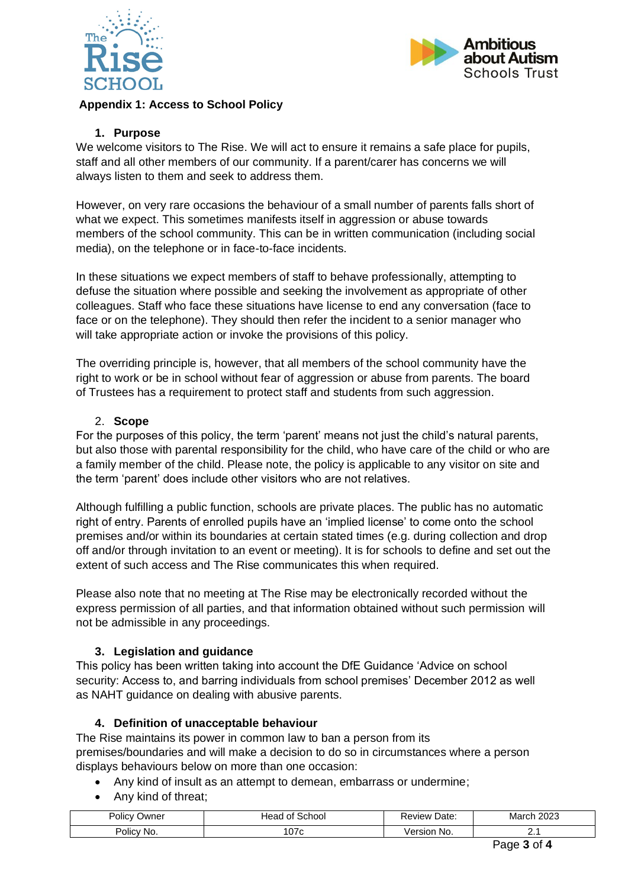



## **Appendix 1: Access to School Policy**

#### **1. Purpose**

We welcome visitors to The Rise. We will act to ensure it remains a safe place for pupils, staff and all other members of our community. If a parent/carer has concerns we will always listen to them and seek to address them.

However, on very rare occasions the behaviour of a small number of parents falls short of what we expect. This sometimes manifests itself in aggression or abuse towards members of the school community. This can be in written communication (including social media), on the telephone or in face-to-face incidents.

In these situations we expect members of staff to behave professionally, attempting to defuse the situation where possible and seeking the involvement as appropriate of other colleagues. Staff who face these situations have license to end any conversation (face to face or on the telephone). They should then refer the incident to a senior manager who will take appropriate action or invoke the provisions of this policy.

The overriding principle is, however, that all members of the school community have the right to work or be in school without fear of aggression or abuse from parents. The board of Trustees has a requirement to protect staff and students from such aggression.

#### 2. **Scope**

For the purposes of this policy, the term 'parent' means not just the child's natural parents, but also those with parental responsibility for the child, who have care of the child or who are a family member of the child. Please note, the policy is applicable to any visitor on site and the term 'parent' does include other visitors who are not relatives.

Although fulfilling a public function, schools are private places. The public has no automatic right of entry. Parents of enrolled pupils have an 'implied license' to come onto the school premises and/or within its boundaries at certain stated times (e.g. during collection and drop off and/or through invitation to an event or meeting). It is for schools to define and set out the extent of such access and The Rise communicates this when required.

Please also note that no meeting at The Rise may be electronically recorded without the express permission of all parties, and that information obtained without such permission will not be admissible in any proceedings.

# **3. Legislation and guidance**

This policy has been written taking into account the DfE Guidance 'Advice on school security: Access to, and barring individuals from school premises' December 2012 as well as NAHT guidance on dealing with abusive parents.

#### **4. Definition of unacceptable behaviour**

The Rise maintains its power in common law to ban a person from its premises/boundaries and will make a decision to do so in circumstances where a person displays behaviours below on more than one occasion:

- Any kind of insult as an attempt to demean, embarrass or undermine;
- Any kind of threat;

| Policv<br>⊃wner      | School<br>Head<br>Οt | Date:<br>Review | 2023<br>March |
|----------------------|----------------------|-----------------|---------------|
| . .<br>Policv<br>No. | 07c                  | /ersion<br>No.  | . .           |